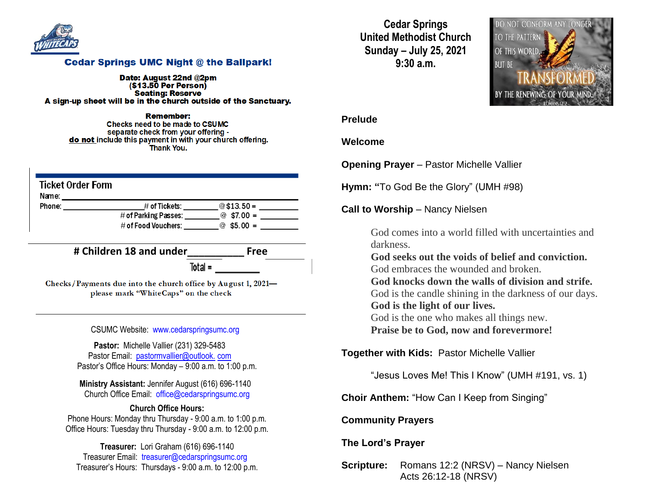

#### **Cedar Springs UMC Night @ the Ballpark!**

Date: August 22nd @2pm  $($ \$13.50 Per Person $)$ **Seating: Reserve** A sign-up sheet will be in the church outside of the Sanctuary.

Remember: Checks need to be made to CSUMC separate check from your offering do not include this payment in with your church offering. **Thank You.** 

| Ticket Order Form<br>Name: |                        |                |
|----------------------------|------------------------|----------------|
| Phone:                     | # of Tickets:          | @\$13.50 =     |
|                            | # of Parking Passes:   | $@$ \$7.00 =   |
|                            | $\#$ of Food Vouchers: | $$5.00 =$<br>ര |

**# Children 18 and under\_\_\_\_\_\_\_\_\_\_ Free**

Total =

Checks/Payments due into the church office by August 1, 2021please mark "WhiteCaps" on the check

CSUMC Website: [www.cedarspringsumc.org](http://www.cedarspringsumc.org/)

**Pastor:** Michelle Vallier (231) 329-5483 Pastor Email: [pastormvallier@outlook.](mailto:pastormvallier@outlook.com) com Pastor's Office Hours: Monday – 9:00 a.m. to 1:00 p.m.

**Ministry Assistant:** Jennifer August (616) 696-1140 Church Office Email: [office@cedarspringsumc.org](mailto:office@cedarspringsumc.org)

#### **Church Office Hours:** Phone Hours: Monday thru Thursday - 9:00 a.m. to 1:00 p.m. Office Hours: Tuesday thru Thursday - 9:00 a.m. to 12:00 p.m.

**Treasurer:** Lori Graham (616) 696-1140 Treasurer Email: treasurer@cedarspringsumc.org Treasurer's Hours: Thursdays - 9:00 a.m. to 12:00 p.m.

**Cedar Springs United Methodist Church Sunday – July 25, 2021 9:30 a.m.**



#### **Prelude**

#### **Welcome**

**Opening Prayer** – Pastor Michelle Vallier

**Hymn: "**To God Be the Glory" (UMH #98)

**Call to Worship** – Nancy Nielsen

God comes into a world filled with uncertainties and darkness.

**God seeks out the voids of belief and conviction.** God embraces the wounded and broken.

**God knocks down the walls of division and strife.**

God is the candle shining in the darkness of our days. **God is the light of our lives.**

God is the one who makes all things new.

**Praise be to God, now and forevermore!**

**Together with Kids:** Pastor Michelle Vallier

"Jesus Loves Me! This I Know" (UMH #191, vs. 1)

**Choir Anthem:** "How Can I Keep from Singing"

### **Community Prayers**

## **The Lord's Prayer**

**Scripture:** Romans 12:2 (NRSV) – Nancy Nielsen Acts 26:12-18 (NRSV)